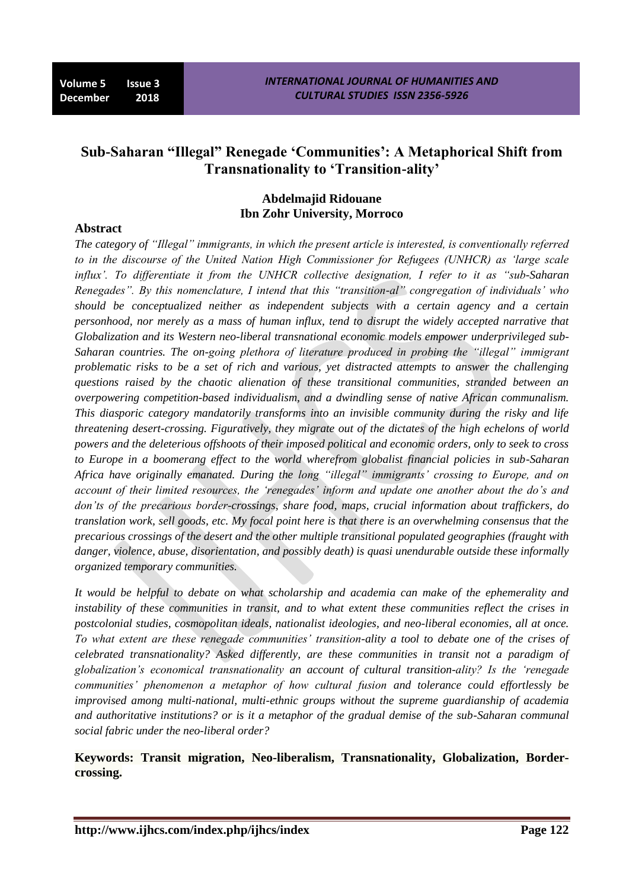# **Sub-Saharan "Illegal" Renegade "Communities": A Metaphorical Shift from Transnationality to "Transition-ality"**

## **Abdelmajid Ridouane Ibn Zohr University, Morroco**

# **Abstract**

*The category of "Illegal" immigrants, in which the present article is interested, is conventionally referred to in the discourse of the United Nation High Commissioner for Refugees (UNHCR) as "large scale influx". To differentiate it from the UNHCR collective designation, I refer to it as "sub-Saharan Renegades". By this nomenclature, I intend that this "transition-al" congregation of individuals" who should be conceptualized neither as independent subjects with a certain agency and a certain personhood, nor merely as a mass of human influx, tend to disrupt the widely accepted narrative that Globalization and its Western neo-liberal transnational economic models empower underprivileged sub-Saharan countries. The on-going plethora of literature produced in probing the "illegal" immigrant problematic risks to be a set of rich and various, yet distracted attempts to answer the challenging questions raised by the chaotic alienation of these transitional communities, stranded between an overpowering competition-based individualism, and a dwindling sense of native African communalism. This diasporic category mandatorily transforms into an invisible community during the risky and life threatening desert-crossing. Figuratively, they migrate out of the dictates of the high echelons of world powers and the deleterious offshoots of their imposed political and economic orders, only to seek to cross to Europe in a boomerang effect to the world wherefrom globalist financial policies in sub-Saharan Africa have originally emanated. During the long "illegal" immigrants" crossing to Europe, and on account of their limited resources, the "renegades" inform and update one another about the do"s and don"ts of the precarious border-crossings, share food, maps, crucial information about traffickers, do translation work, sell goods, etc. My focal point here is that there is an overwhelming consensus that the precarious crossings of the desert and the other multiple transitional populated geographies (fraught with danger, violence, abuse, disorientation, and possibly death) is quasi unendurable outside these informally organized temporary communities.*

*It would be helpful to debate on what scholarship and academia can make of the ephemerality and instability of these communities in transit, and to what extent these communities reflect the crises in postcolonial studies, cosmopolitan ideals, nationalist ideologies, and neo-liberal economies, all at once. To what extent are these renegade communities" transition-ality a tool to debate one of the crises of celebrated transnationality? Asked differently, are these communities in transit not a paradigm of globalization"s economical transnationality an account of cultural transition-ality? Is the "renegade communities" phenomenon a metaphor of how cultural fusion and tolerance could effortlessly be improvised among multi-national, multi-ethnic groups without the supreme guardianship of academia and authoritative institutions? or is it a metaphor of the gradual demise of the sub-Saharan communal social fabric under the neo-liberal order?*

**Keywords: Transit migration, Neo-liberalism, Transnationality, Globalization, Bordercrossing.**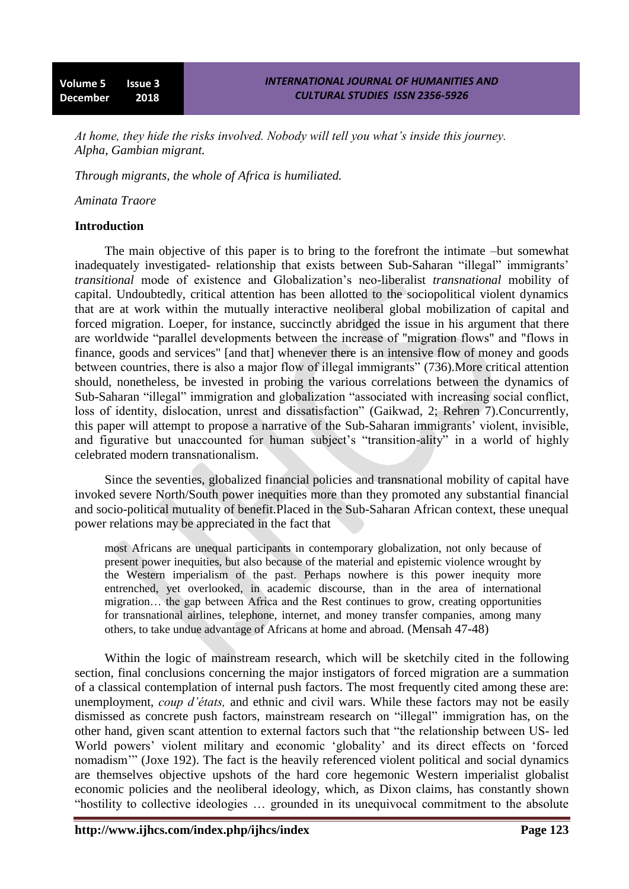*At home, they hide the risks involved. Nobody will tell you what"s inside this journey. Alpha, Gambian migrant.*

*Through migrants, the whole of Africa is humiliated.*

*Aminata Traore*

#### **Introduction**

The main objective of this paper is to bring to the forefront the intimate –but somewhat inadequately investigated- relationship that exists between Sub-Saharan "illegal" immigrants' *transitional* mode of existence and Globalization's neo-liberalist *transnational* mobility of capital. Undoubtedly, critical attention has been allotted to the sociopolitical violent dynamics that are at work within the mutually interactive neoliberal global mobilization of capital and forced migration. Loeper, for instance, succinctly abridged the issue in his argument that there are worldwide "parallel developments between the increase of "migration flows" and "flows in finance, goods and services" [and that] whenever there is an intensive flow of money and goods between countries, there is also a major flow of illegal immigrants" (736). More critical attention should, nonetheless, be invested in probing the various correlations between the dynamics of Sub-Saharan "illegal" immigration and globalization "associated with increasing social conflict, loss of identity, dislocation, unrest and dissatisfaction" (Gaikwad, 2; Rehren 7). Concurrently, this paper will attempt to propose a narrative of the Sub-Saharan immigrants' violent, invisible, and figurative but unaccounted for human subject's "transition-ality" in a world of highly celebrated modern transnationalism.

Since the seventies, globalized financial policies and transnational mobility of capital have invoked severe North/South power inequities more than they promoted any substantial financial and socio-political mutuality of benefit.Placed in the Sub-Saharan African context, these unequal power relations may be appreciated in the fact that

most Africans are unequal participants in contemporary globalization, not only because of present power inequities, but also because of the material and epistemic violence wrought by the Western imperialism of the past. Perhaps nowhere is this power inequity more entrenched, yet overlooked, in academic discourse, than in the area of international migration… the gap between Africa and the Rest continues to grow, creating opportunities for transnational airlines, telephone, internet, and money transfer companies, among many others, to take undue advantage of Africans at home and abroad. (Mensah 47-48)

Within the logic of mainstream research, which will be sketchily cited in the following section, final conclusions concerning the major instigators of forced migration are a summation of a classical contemplation of internal push factors. The most frequently cited among these are: unemployment, *coup d"états,* and ethnic and civil wars. While these factors may not be easily dismissed as concrete push factors, mainstream research on "illegal" immigration has, on the other hand, given scant attention to external factors such that "the relationship between US- led World powers' violent military and economic 'globality' and its direct effects on 'forced nomadism'" (Joxe 192). The fact is the heavily referenced violent political and social dynamics are themselves objective upshots of the hard core hegemonic Western imperialist globalist economic policies and the neoliberal ideology, which, as Dixon claims, has constantly shown "hostility to collective ideologies ... grounded in its unequivocal commitment to the absolute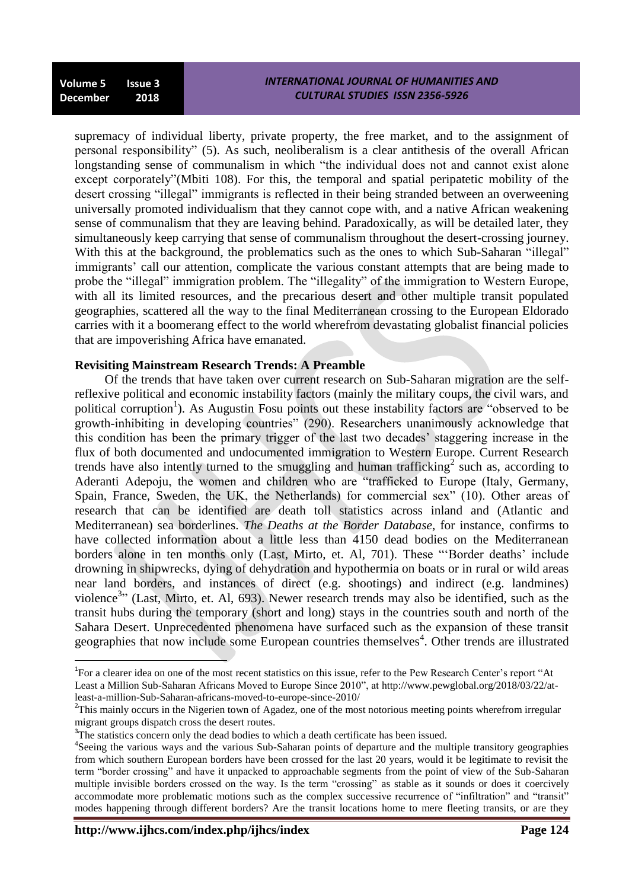supremacy of individual liberty, private property, the free market, and to the assignment of personal responsibility" (5). As such, neoliberalism is a clear antithesis of the overall African longstanding sense of communalism in which "the individual does not and cannot exist alone except corporately"(Mbiti 108). For this, the temporal and spatial peripatetic mobility of the desert crossing "illegal" immigrants is reflected in their being stranded between an overweening universally promoted individualism that they cannot cope with, and a native African weakening sense of communalism that they are leaving behind. Paradoxically, as will be detailed later, they simultaneously keep carrying that sense of communalism throughout the desert-crossing journey. With this at the background, the problematics such as the ones to which Sub-Saharan "illegal" immigrants' call our attention, complicate the various constant attempts that are being made to probe the "illegal" immigration problem. The "illegality" of the immigration to Western Europe, with all its limited resources, and the precarious desert and other multiple transit populated geographies, scattered all the way to the final Mediterranean crossing to the European Eldorado carries with it a boomerang effect to the world wherefrom devastating globalist financial policies that are impoverishing Africa have emanated.

### **Revisiting Mainstream Research Trends: A Preamble**

Of the trends that have taken over current research on Sub-Saharan migration are the selfreflexive political and economic instability factors (mainly the military coups, the civil wars, and political corruption<sup>1</sup>). As Augustin Fosu points out these instability factors are "observed to be growth-inhibiting in developing countries" (290). Researchers unanimously acknowledge that this condition has been the primary trigger of the last two decades' staggering increase in the flux of both documented and undocumented immigration to Western Europe. Current Research trends have also intently turned to the smuggling and human trafficking<sup>2</sup> such as, according to Aderanti Adepoju, the women and children who are "trafficked to Europe (Italy, Germany, Spain, France, Sweden, the UK, the Netherlands) for commercial sex" (10). Other areas of research that can be identified are death toll statistics across inland and (Atlantic and Mediterranean) sea borderlines. *The Deaths at the Border Database*, for instance, confirms to have collected information about a little less than 4150 dead bodies on the Mediterranean borders alone in ten months only (Last, Mirto, et. Al, 701). These "Border deaths' include drowning in shipwrecks, dying of dehydration and hypothermia on boats or in rural or wild areas near land borders, and instances of direct (e.g. shootings) and indirect (e.g. landmines) violence<sup>3</sup><sup>3</sup> (Last, Mirto, et. Al, 693). Newer research trends may also be identified, such as the transit hubs during the temporary (short and long) stays in the countries south and north of the Sahara Desert. Unprecedented phenomena have surfaced such as the expansion of these transit geographies that now include some European countries themselves<sup>4</sup>. Other trends are illustrated

**.** 

<sup>&</sup>lt;sup>1</sup>For a clearer idea on one of the most recent statistics on this issue, refer to the Pew Research Center's report "At Least a Million Sub-Saharan Africans Moved to Europe Since 2010", at http://www.pewglobal.org/2018/03/22/atleast-a-million-Sub-Saharan-africans-moved-to-europe-since-2010/

<sup>&</sup>lt;sup>2</sup>This mainly occurs in the Nigerien town of Agadez, one of the most notorious meeting points wherefrom irregular migrant groups dispatch cross the desert routes.

<sup>&</sup>lt;sup>3</sup>The statistics concern only the dead bodies to which a death certificate has been issued.

<sup>&</sup>lt;sup>4</sup>Seeing the various ways and the various Sub-Saharan points of departure and the multiple transitory geographies from which southern European borders have been crossed for the last 20 years, would it be legitimate to revisit the term "border crossing" and have it unpacked to approachable segments from the point of view of the Sub-Saharan multiple invisible borders crossed on the way. Is the term "crossing" as stable as it sounds or does it coercively accommodate more problematic motions such as the complex successive recurrence of "infiltration" and "transit" modes happening through different borders? Are the transit locations home to mere fleeting transits, or are they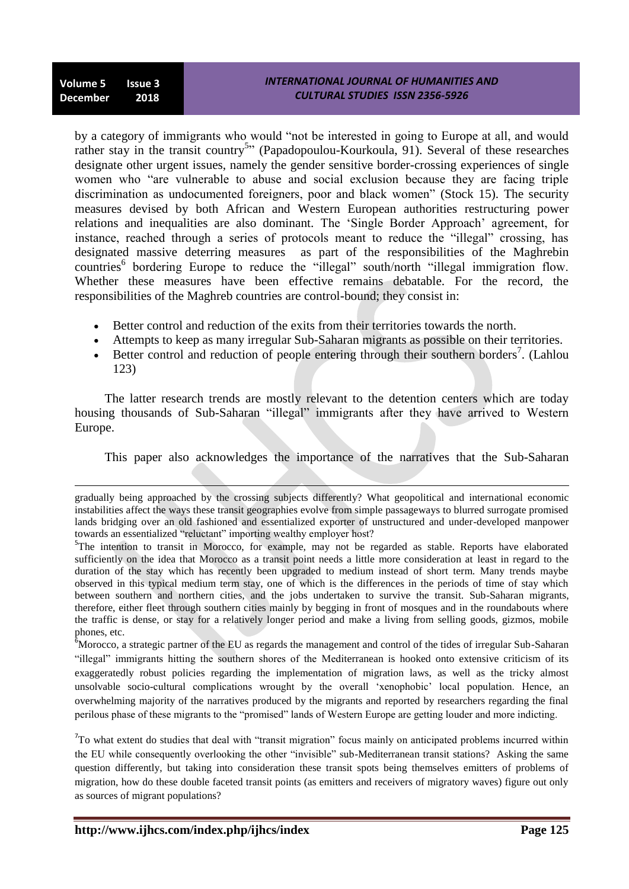1

by a category of immigrants who would "not be interested in going to Europe at all, and would rather stay in the transit country<sup>5</sup><sup>2</sup> (Papadopoulou-Kourkoula, 91). Several of these researches designate other urgent issues, namely the gender sensitive border-crossing experiences of single women who "are vulnerable to abuse and social exclusion because they are facing triple discrimination as undocumented foreigners, poor and black women" (Stock 15). The security measures devised by both African and Western European authorities restructuring power relations and inequalities are also dominant. The 'Single Border Approach' agreement, for instance, reached through a series of protocols meant to reduce the "illegal" crossing, has designated massive deterring measures as part of the responsibilities of the Maghrebin countries<sup>6</sup> bordering Europe to reduce the "illegal" south/north "illegal immigration flow. Whether these measures have been effective remains debatable. For the record, the responsibilities of the Maghreb countries are control-bound; they consist in:

- Better control and reduction of the exits from their territories towards the north.
- Attempts to keep as many irregular Sub-Saharan migrants as possible on their territories.
- $\bullet$  Better control and reduction of people entering through their southern borders<sup>7</sup>. (Lahlou 123)

The latter research trends are mostly relevant to the detention centers which are today housing thousands of Sub-Saharan "illegal" immigrants after they have arrived to Western Europe.

This paper also acknowledges the importance of the narratives that the Sub-Saharan

<sup>6</sup>Morocco, a strategic partner of the EU as regards the management and control of the tides of irregular Sub-Saharan ―illegal‖ immigrants hitting the southern shores of the Mediterranean is hooked onto extensive criticism of its exaggeratedly robust policies regarding the implementation of migration laws, as well as the tricky almost unsolvable socio-cultural complications wrought by the overall ‗xenophobic' local population. Hence, an overwhelming majority of the narratives produced by the migrants and reported by researchers regarding the final perilous phase of these migrants to the "promised" lands of Western Europe are getting louder and more indicting.

 $7$ To what extent do studies that deal with "transit migration" focus mainly on anticipated problems incurred within the EU while consequently overlooking the other "invisible" sub-Mediterranean transit stations? Asking the same question differently, but taking into consideration these transit spots being themselves emitters of problems of migration, how do these double faceted transit points (as emitters and receivers of migratory waves) figure out only as sources of migrant populations?

gradually being approached by the crossing subjects differently? What geopolitical and international economic instabilities affect the ways these transit geographies evolve from simple passageways to blurred surrogate promised lands bridging over an old fashioned and essentialized exporter of unstructured and under-developed manpower towards an essentialized "reluctant" importing wealthy employer host?

<sup>&</sup>lt;sup>5</sup>The intention to transit in Morocco, for example, may not be regarded as stable. Reports have elaborated sufficiently on the idea that Morocco as a transit point needs a little more consideration at least in regard to the duration of the stay which has recently been upgraded to medium instead of short term. Many trends maybe observed in this typical medium term stay, one of which is the differences in the periods of time of stay which between southern and northern cities, and the jobs undertaken to survive the transit. Sub-Saharan migrants, therefore, either fleet through southern cities mainly by begging in front of mosques and in the roundabouts where the traffic is dense, or stay for a relatively longer period and make a living from selling goods, gizmos, mobile phones, etc.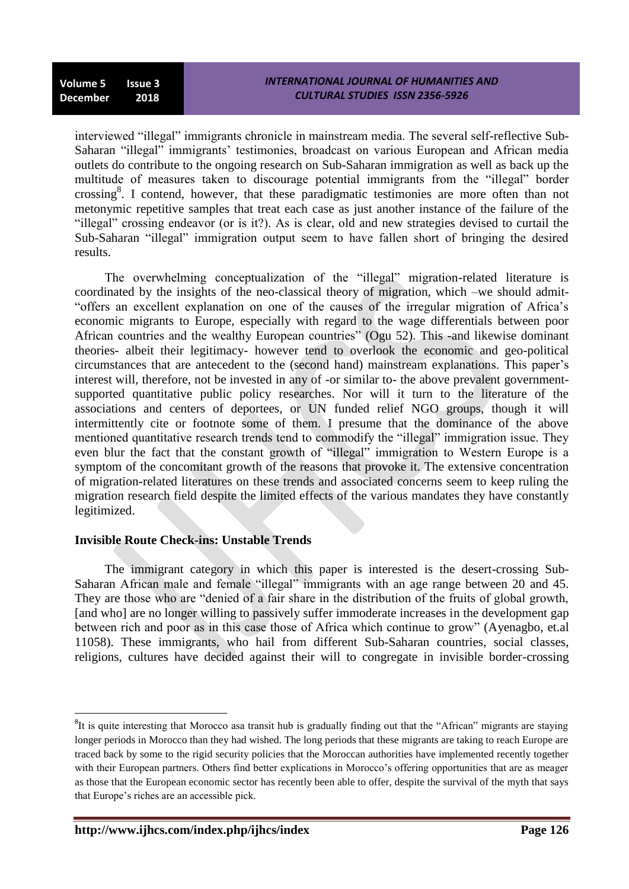interviewed "illegal" immigrants chronicle in mainstream media. The several self-reflective Sub-Saharan "illegal" immigrants' testimonies, broadcast on various European and African media outlets do contribute to the ongoing research on Sub-Saharan immigration as well as back up the multitude of measures taken to discourage potential immigrants from the "illegal" border crossing<sup>8</sup>. I contend, however, that these paradigmatic testimonies are more often than not metonymic repetitive samples that treat each case as just another instance of the failure of the "illegal" crossing endeavor (or is it?). As is clear, old and new strategies devised to curtail the Sub-Saharan "illegal" immigration output seem to have fallen short of bringing the desired results.

The overwhelming conceptualization of the "illegal" migration-related literature is coordinated by the insights of the neo-classical theory of migration, which –we should admit- ―offers an excellent explanation on one of the causes of the irregular migration of Africa's economic migrants to Europe, especially with regard to the wage differentials between poor African countries and the wealthy European countries" (Ogu 52). This -and likewise dominant theories- albeit their legitimacy- however tend to overlook the economic and geo-political circumstances that are antecedent to the (second hand) mainstream explanations. This paper's interest will, therefore, not be invested in any of -or similar to- the above prevalent governmentsupported quantitative public policy researches. Nor will it turn to the literature of the associations and centers of deportees, or UN funded relief NGO groups, though it will intermittently cite or footnote some of them. I presume that the dominance of the above mentioned quantitative research trends tend to commodify the "illegal" immigration issue. They even blur the fact that the constant growth of "illegal" immigration to Western Europe is a symptom of the concomitant growth of the reasons that provoke it. The extensive concentration of migration-related literatures on these trends and associated concerns seem to keep ruling the migration research field despite the limited effects of the various mandates they have constantly legitimized.

# **Invisible Route Check-ins: Unstable Trends**

The immigrant category in which this paper is interested is the desert-crossing Sub-Saharan African male and female "illegal" immigrants with an age range between 20 and 45. They are those who are "denied of a fair share in the distribution of the fruits of global growth, [and who] are no longer willing to passively suffer immoderate increases in the development gap between rich and poor as in this case those of Africa which continue to grow" (Ayenagbo, et.al 11058). These immigrants, who hail from different Sub-Saharan countries, social classes, religions, cultures have decided against their will to congregate in invisible border-crossing

1

 ${}^{8}$ It is quite interesting that Morocco asa transit hub is gradually finding out that the "African" migrants are staying longer periods in Morocco than they had wished. The long periods that these migrants are taking to reach Europe are traced back by some to the rigid security policies that the Moroccan authorities have implemented recently together with their European partners. Others find better explications in Morocco's offering opportunities that are as meager as those that the European economic sector has recently been able to offer, despite the survival of the myth that says that Europe's riches are an accessible pick.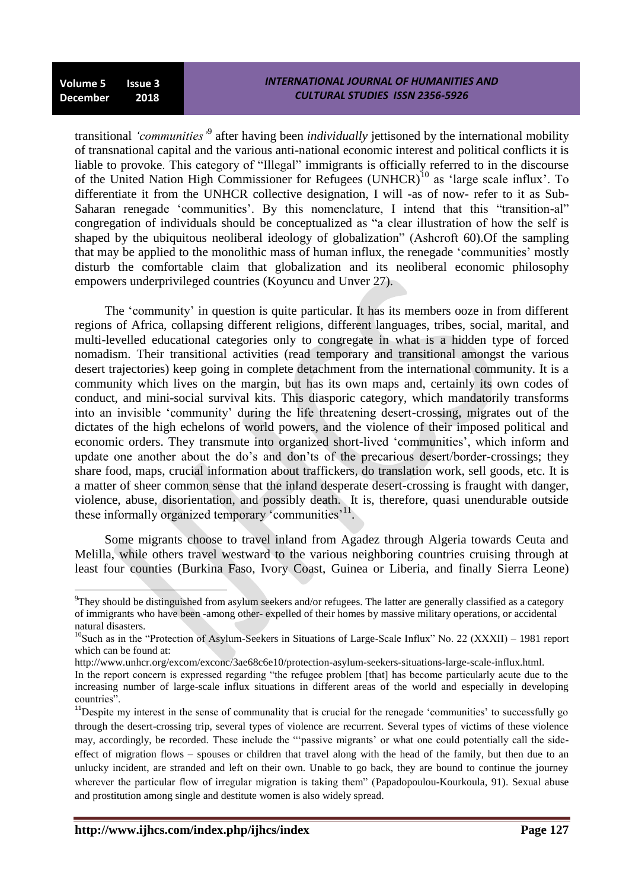**.** 

transitional *"communities"*<sup>9</sup> after having been *individually* jettisoned by the international mobility of transnational capital and the various anti-national economic interest and political conflicts it is liable to provoke. This category of "Illegal" immigrants is officially referred to in the discourse of the United Nation High Commissioner for Refugees (UNHCR)<sup>10</sup> as 'large scale influx'. To differentiate it from the UNHCR collective designation, I will -as of now- refer to it as Sub-Saharan renegade 'communities'. By this nomenclature, I intend that this "transition-al" congregation of individuals should be conceptualized as "a clear illustration of how the self is shaped by the ubiquitous neoliberal ideology of globalization" (Ashcroft  $60$ ). Of the sampling that may be applied to the monolithic mass of human influx, the renegade ‗communities' mostly disturb the comfortable claim that globalization and its neoliberal economic philosophy empowers underprivileged countries (Koyuncu and Unver 27).

The 'community' in question is quite particular. It has its members ooze in from different regions of Africa, collapsing different religions, different languages, tribes, social, marital, and multi-levelled educational categories only to congregate in what is a hidden type of forced nomadism. Their transitional activities (read temporary and transitional amongst the various desert trajectories) keep going in complete detachment from the international community. It is a community which lives on the margin, but has its own maps and, certainly its own codes of conduct, and mini-social survival kits. This diasporic category, which mandatorily transforms into an invisible 'community' during the life threatening desert-crossing, migrates out of the dictates of the high echelons of world powers, and the violence of their imposed political and economic orders. They transmute into organized short-lived ‗communities', which inform and update one another about the do's and don'ts of the precarious desert/border-crossings; they share food, maps, crucial information about traffickers, do translation work, sell goods, etc. It is a matter of sheer common sense that the inland desperate desert-crossing is fraught with danger, violence, abuse, disorientation, and possibly death. It is, therefore, quasi unendurable outside these informally organized temporary 'communities'<sup>11</sup>.

Some migrants choose to travel inland from Agadez through Algeria towards Ceuta and Melilla, while others travel westward to the various neighboring countries cruising through at least four counties (Burkina Faso, Ivory Coast, Guinea or Liberia, and finally Sierra Leone)

<sup>9</sup>They should be distinguished from asylum seekers and/or refugees. The latter are generally classified as a category of immigrants who have been -among other- expelled of their homes by massive military operations, or accidental natural disasters.

<sup>&</sup>lt;sup>10</sup>Such as in the "Protection of Asylum-Seekers in Situations of Large-Scale Influx" No. 22 (XXXII) – 1981 report which can be found at:

http://www.unhcr.org/excom/exconc/3ae68c6e10/protection-asylum-seekers-situations-large-scale-influx.html.

In the report concern is expressed regarding "the refugee problem [that] has become particularly acute due to the increasing number of large-scale influx situations in different areas of the world and especially in developing countries".

<sup>&</sup>lt;sup>11</sup>Despite my interest in the sense of communality that is crucial for the renegade 'communities' to successfully go through the desert-crossing trip, several types of violence are recurrent. Several types of victims of these violence may, accordingly, be recorded. These include the "'passive migrants' or what one could potentially call the sideeffect of migration flows – spouses or children that travel along with the head of the family, but then due to an unlucky incident, are stranded and left on their own. Unable to go back, they are bound to continue the journey wherever the particular flow of irregular migration is taking them<sup>"</sup> (Papadopoulou-Kourkoula, 91). Sexual abuse and prostitution among single and destitute women is also widely spread.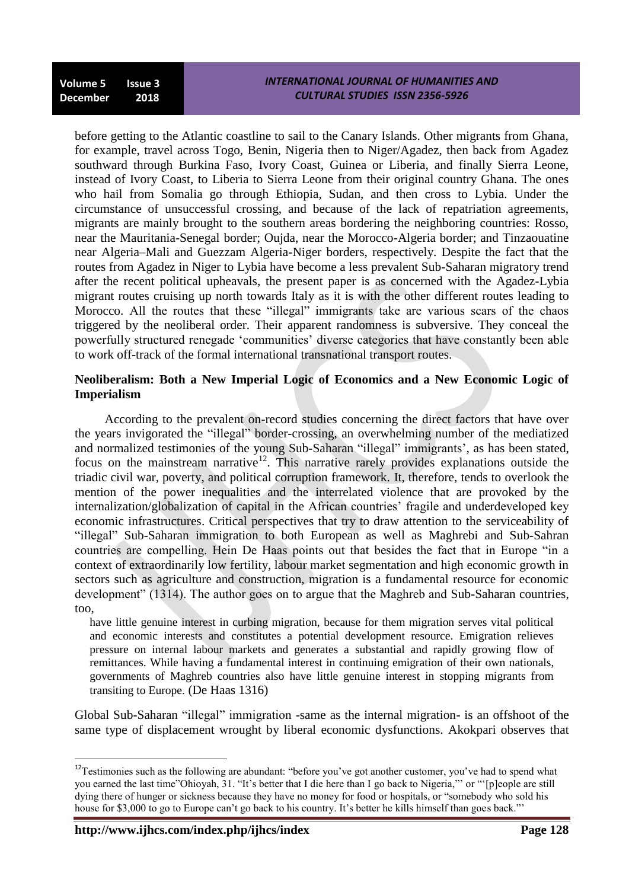before getting to the Atlantic coastline to sail to the Canary Islands. Other migrants from Ghana, for example, travel across Togo, Benin, Nigeria then to Niger/Agadez, then back from Agadez southward through Burkina Faso, Ivory Coast, Guinea or Liberia, and finally Sierra Leone, instead of Ivory Coast, to Liberia to Sierra Leone from their original country Ghana. The ones who hail from Somalia go through Ethiopia, Sudan, and then cross to Lybia. Under the circumstance of unsuccessful crossing, and because of the lack of repatriation agreements, migrants are mainly brought to the southern areas bordering the neighboring countries: Rosso, near the Mauritania-Senegal border; Oujda, near the Morocco-Algeria border; and Tinzaouatine near Algeria–Mali and Guezzam Algeria[-Niger](https://en.wikipedia.org/wiki/Niger) borders, respectively. Despite the fact that the routes from Agadez in Niger to Lybia have become a less prevalent Sub-Saharan migratory trend after the recent political upheavals, the present paper is as concerned with the Agadez-Lybia migrant routes cruising up north towards Italy as it is with the other different routes leading to Morocco. All the routes that these "illegal" immigrants take are various scars of the chaos triggered by the neoliberal order. Their apparent randomness is subversive. They conceal the powerfully structured renegade 'communities' diverse categories that have constantly been able to work off-track of the formal international transnational transport routes.

# **Neoliberalism: Both a New Imperial Logic of Economics and a New Economic Logic of Imperialism**

According to the prevalent on-record studies concerning the direct factors that have over the years invigorated the "illegal" border-crossing, an overwhelming number of the mediatized and normalized testimonies of the young Sub-Saharan "illegal" immigrants', as has been stated, focus on the mainstream narrative<sup>12</sup>. This narrative rarely provides explanations outside the triadic civil war, poverty, and political corruption framework. It, therefore, tends to overlook the mention of the power inequalities and the interrelated violence that are provoked by the internalization/globalization of capital in the African countries' fragile and underdeveloped key economic infrastructures. Critical perspectives that try to draw attention to the serviceability of ―illegal‖ Sub-Saharan immigration to both European as well as Maghrebi and Sub-Sahran countries are compelling. Hein De Haas points out that besides the fact that in Europe "in a context of extraordinarily low fertility, labour market segmentation and high economic growth in sectors such as agriculture and construction, migration is a fundamental resource for economic development" (1314). The author goes on to argue that the Maghreb and Sub-Saharan countries, too,

have little genuine interest in curbing migration, because for them migration serves vital political and economic interests and constitutes a potential development resource. Emigration relieves pressure on internal labour markets and generates a substantial and rapidly growing flow of remittances. While having a fundamental interest in continuing emigration of their own nationals, governments of Maghreb countries also have little genuine interest in stopping migrants from transiting to Europe. (De Haas 1316)

Global Sub-Saharan "illegal" immigration -same as the internal migration- is an offshoot of the same type of displacement wrought by liberal economic dysfunctions. Akokpari observes that

**.** 

 $12$ Testimonies such as the following are abundant: "before you've got another customer, you've had to spend what you earned the last time"Ohioyah, 31. "It's better that I die here than I go back to Nigeria,"' or "'[p]eople are still dying there of hunger or sickness because they have no money for food or hospitals, or "somebody who sold his house for \$3,000 to go to Europe can't go back to his country. It's better he kills himself than goes back."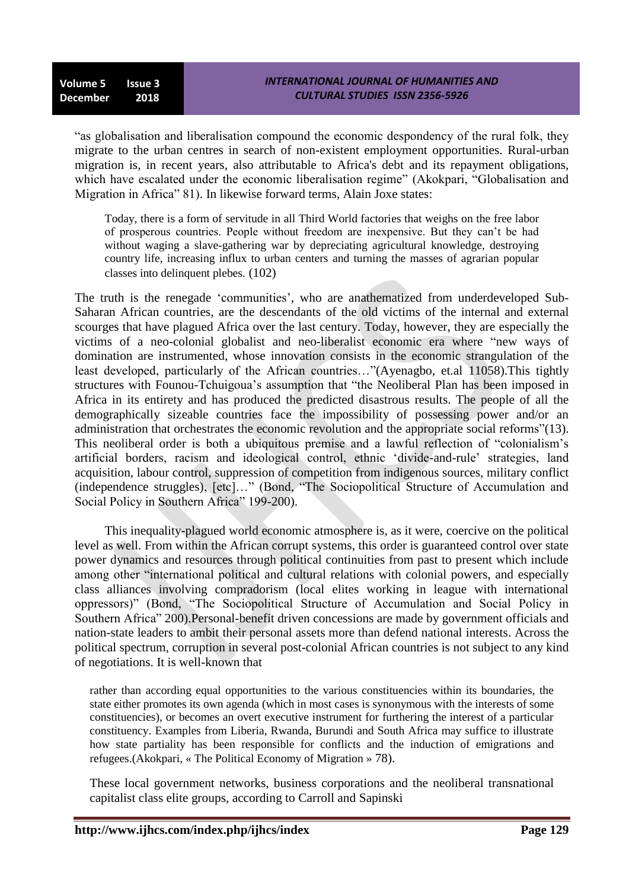"as globalisation and liberalisation compound the economic despondency of the rural folk, they migrate to the urban centres in search of non-existent employment opportunities. Rural-urban migration is, in recent years, also attributable to Africa's debt and its repayment obligations, which have escalated under the economic liberalisation regime" (Akokpari, "Globalisation and Migration in Africa" 81). In likewise forward terms, Alain Joxe states:

Today, there is a form of servitude in all Third World factories that weighs on the free labor of prosperous countries. People without freedom are inexpensive. But they can't be had without waging a slave-gathering war by depreciating agricultural knowledge, destroying country life, increasing influx to urban centers and turning the masses of agrarian popular classes into delinquent plebes. (102)

The truth is the renegade 'communities', who are anathematized from underdeveloped Sub-Saharan African countries, are the descendants of the old victims of the internal and external scourges that have plagued Africa over the last century. Today, however, they are especially the victims of a neo-colonial globalist and neo-liberalist economic era where "new ways of domination are instrumented, whose innovation consists in the economic strangulation of the least developed, particularly of the African countries..."(Ayenagbo, et.al 11058). This tightly structures with Founou-Tchuigoua's assumption that "the Neoliberal Plan has been imposed in Africa in its entirety and has produced the predicted disastrous results. The people of all the demographically sizeable countries face the impossibility of possessing power and/or an administration that orchestrates the economic revolution and the appropriate social reforms"(13). This neoliberal order is both a ubiquitous premise and a lawful reflection of "colonialism's artificial borders, racism and ideological control, ethnic ‗divide-and-rule' strategies, land acquisition, labour control, suppression of competition from indigenous sources, military conflict (independence struggles), [etc]…" (Bond, "The Sociopolitical Structure of Accumulation and Social Policy in Southern Africa" 199-200).

This inequality-plagued world economic atmosphere is, as it were, coercive on the political level as well. From within the African corrupt systems, this order is guaranteed control over state power dynamics and resources through political continuities from past to present which include among other "international political and cultural relations with colonial powers, and especially class alliances involving compradorism (local elites working in league with international oppressors)" (Bond, "The Sociopolitical Structure of Accumulation and Social Policy in Southern Africa" 200). Personal-benefit driven concessions are made by government officials and nation-state leaders to ambit their personal assets more than defend national interests. Across the political spectrum, corruption in several post-colonial African countries is not subject to any kind of negotiations. It is well-known that

rather than according equal opportunities to the various constituencies within its boundaries, the state either promotes its own agenda (which in most cases is synonymous with the interests of some constituencies), or becomes an overt executive instrument for furthering the interest of a particular constituency. Examples from Liberia, Rwanda, Burundi and South Africa may suffice to illustrate how state partiality has been responsible for conflicts and the induction of emigrations and refugees.(Akokpari, « The Political Economy of Migration » 78).

These local government networks, business corporations and the neoliberal transnational capitalist class elite groups, according to Carroll and Sapinski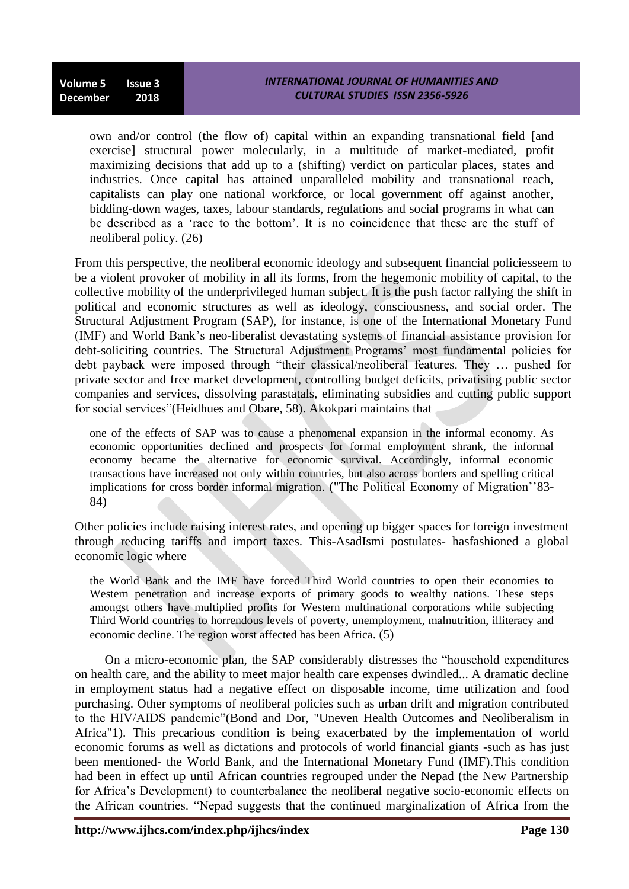own and/or control (the flow of) capital within an expanding transnational field [and exercise] structural power molecularly, in a multitude of market-mediated, profit maximizing decisions that add up to a (shifting) verdict on particular places, states and industries. Once capital has attained unparalleled mobility and transnational reach, capitalists can play one national workforce, or local government off against another, bidding-down wages, taxes, labour standards, regulations and social programs in what can be described as a 'race to the bottom'. It is no coincidence that these are the stuff of neoliberal policy. (26)

From this perspective, the neoliberal economic ideology and subsequent financial policiesseem to be a violent provoker of mobility in all its forms, from the hegemonic mobility of capital, to the collective mobility of the underprivileged human subject. It is the push factor rallying the shift in political and economic structures as well as ideology, consciousness, and social order. The Structural Adjustment Program (SAP), for instance, is one of the International Monetary Fund (IMF) and World Bank's neo-liberalist devastating systems of financial assistance provision for debt-soliciting countries. The Structural Adjustment Programs' most fundamental policies for debt payback were imposed through "their classical/neoliberal features. They ... pushed for private sector and free market development, controlling budget deficits, privatising public sector companies and services, dissolving parastatals, eliminating subsidies and cutting public support for social services" (Heidhues and Obare, 58). Akokpari maintains that

one of the effects of SAP was to cause a phenomenal expansion in the informal economy. As economic opportunities declined and prospects for formal employment shrank, the informal economy became the alternative for economic survival. Accordingly, informal economic transactions have increased not only within countries, but also across borders and spelling critical implications for cross border informal migration. ("The Political Economy of Migration''83- 84)

Other policies include raising interest rates, and opening up bigger spaces for foreign investment through reducing tariffs and import taxes. This-AsadIsmi postulates- hasfashioned a global economic logic where

the World Bank and the IMF have forced Third World countries to open their economies to Western penetration and increase exports of primary goods to wealthy nations. These steps amongst others have multiplied profits for Western multinational corporations while subjecting Third World countries to horrendous levels of poverty, unemployment, malnutrition, illiteracy and economic decline. The region worst affected has been Africa. (5)

On a micro-economic plan, the SAP considerably distresses the "household expenditures" on health care, and the ability to meet major health care expenses dwindled... A dramatic decline in employment status had a negative effect on disposable income, time utilization and food purchasing. Other symptoms of neoliberal policies such as urban drift and migration contributed to the HIV/AIDS pandemic"(Bond and Dor, "Uneven Health Outcomes and Neoliberalism in Africa"1). This precarious condition is being exacerbated by the implementation of world economic forums as well as dictations and protocols of world financial giants -such as has just been mentioned- the World Bank, and the International Monetary Fund (IMF).This condition had been in effect up until African countries regrouped under the Nepad (the New Partnership for Africa's Development) to counterbalance the neoliberal negative socio-economic effects on the African countries. "Nepad suggests that the continued marginalization of Africa from the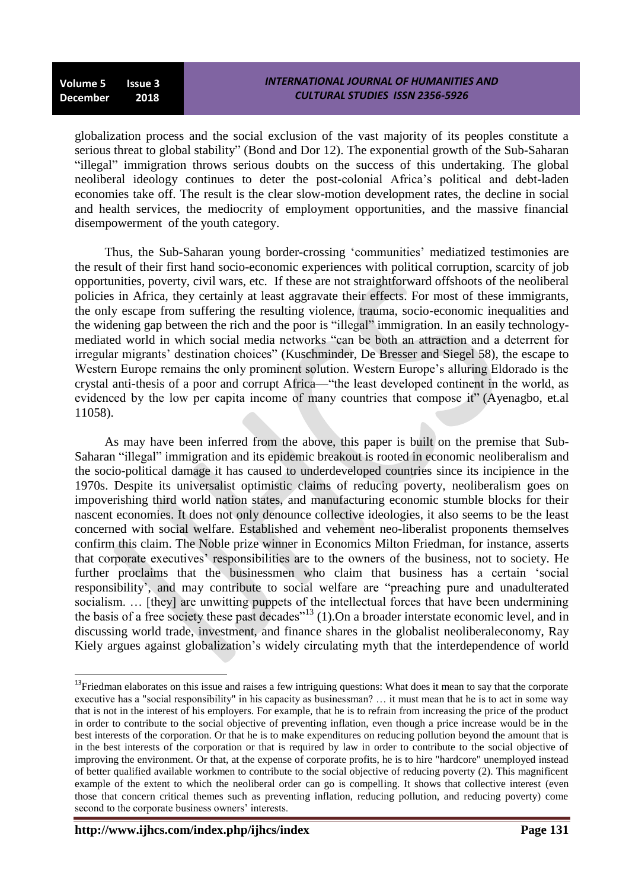globalization process and the social exclusion of the vast majority of its peoples constitute a serious threat to global stability" (Bond and Dor 12). The exponential growth of the Sub-Saharan "illegal" immigration throws serious doubts on the success of this undertaking. The global neoliberal ideology continues to deter the post-colonial Africa's political and debt-laden economies take off. The result is the clear slow-motion development rates, the decline in social and health services, the mediocrity of employment opportunities, and the massive financial disempowerment of the youth category.

Thus, the Sub-Saharan young border-crossing ‗communities' mediatized testimonies are the result of their first hand socio-economic experiences with political corruption, scarcity of job opportunities, poverty, civil wars, etc. If these are not straightforward offshoots of the neoliberal policies in Africa, they certainly at least aggravate their effects. For most of these immigrants, the only escape from suffering the resulting violence, trauma, socio-economic inequalities and the widening gap between the rich and the poor is "illegal" immigration. In an easily technologymediated world in which social media networks "can be both an attraction and a deterrent for irregular migrants' destination choices" (Kuschminder, De Bresser and Siegel 58), the escape to Western Europe remains the only prominent solution. Western Europe's alluring Eldorado is the crystal anti-thesis of a poor and corrupt Africa—"the least developed continent in the world, as evidenced by the low per capita income of many countries that compose it" (Ayenagbo, et.al 11058).

As may have been inferred from the above, this paper is built on the premise that Sub-Saharan "illegal" immigration and its epidemic breakout is rooted in economic neoliberalism and the socio-political damage it has caused to underdeveloped countries since its incipience in the 1970s. Despite its universalist optimistic claims of reducing poverty, neoliberalism goes on impoverishing third world nation states, and manufacturing economic stumble blocks for their nascent economies. It does not only denounce collective ideologies, it also seems to be the least concerned with social welfare. Established and vehement neo-liberalist proponents themselves confirm this claim. The Noble prize winner in Economics Milton Friedman, for instance, asserts that corporate executives' responsibilities are to the owners of the business, not to society. He further proclaims that the businessmen who claim that business has a certain 'social responsibility', and may contribute to social welfare are "preaching pure and unadulterated socialism. ... [they] are unwitting puppets of the intellectual forces that have been undermining the basis of a free society these past decades"<sup>13</sup> (1). On a broader interstate economic level, and in discussing world trade, investment, and finance shares in the globalist neoliberaleconomy, Ray Kiely argues against globalization's widely circulating myth that the interdependence of world

1

 $13$ Friedman elaborates on this issue and raises a few intriguing questions: What does it mean to say that the corporate executive has a "social responsibility" in his capacity as businessman? … it must mean that he is to act in some way that is not in the interest of his employers. For example, that he is to refrain from increasing the price of the product in order to contribute to the social objective of preventing inflation, even though a price increase would be in the best interests of the corporation. Or that he is to make expenditures on reducing pollution beyond the amount that is in the best interests of the corporation or that is required by law in order to contribute to the social objective of improving the environment. Or that, at the expense of corporate profits, he is to hire "hardcore" unemployed instead of better qualified available workmen to contribute to the social objective of reducing poverty (2). This magnificent example of the extent to which the neoliberal order can go is compelling. It shows that collective interest (even those that concern critical themes such as preventing inflation, reducing pollution, and reducing poverty) come second to the corporate business owners' interests.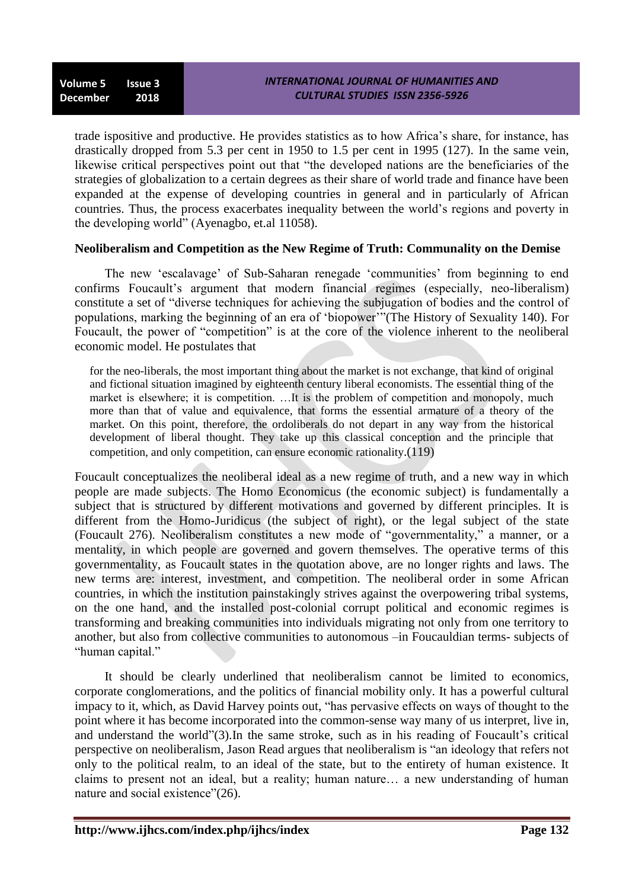trade ispositive and productive. He provides statistics as to how Africa's share, for instance, has drastically dropped from 5.3 per cent in 1950 to 1.5 per cent in 1995 (127). In the same vein, likewise critical perspectives point out that "the developed nations are the beneficiaries of the strategies of globalization to a certain degrees as their share of world trade and finance have been expanded at the expense of developing countries in general and in particularly of African countries. Thus, the process exacerbates inequality between the world's regions and poverty in the developing world" (Ayenagbo, et.al 11058).

### **Neoliberalism and Competition as the New Regime of Truth: Communality on the Demise**

The new 'escalavage' of Sub-Saharan renegade 'communities' from beginning to end confirms Foucault's argument that modern financial regimes (especially, neo-liberalism) constitute a set of "diverse techniques for achieving the subjugation of bodies and the control of populations, marking the beginning of an era of 'biopower'''(The History of Sexuality 140). For Foucault, the power of "competition" is at the core of the violence inherent to the neoliberal economic model. He postulates that

for the neo-liberals, the most important thing about the market is not exchange, that kind of original and fictional situation imagined by eighteenth century liberal economists. The essential thing of the market is elsewhere; it is competition. …It is the problem of competition and monopoly, much more than that of value and equivalence, that forms the essential armature of a theory of the market. On this point, therefore, the ordoliberals do not depart in any way from the historical development of liberal thought. They take up this classical conception and the principle that competition, and only competition, can ensure economic rationality.(119)

Foucault conceptualizes the neoliberal ideal as a new regime of truth, and a new way in which people are made subjects. The Homo Economicus (the economic subject) is fundamentally a subject that is structured by different motivations and governed by different principles. It is different from the Homo-Juridicus (the subject of right), or the legal subject of the state (Foucault 276). Neoliberalism constitutes a new mode of "governmentality," a manner, or a mentality, in which people are governed and govern themselves. The operative terms of this governmentality, as Foucault states in the quotation above, are no longer rights and laws. The new terms are: interest, investment, and competition. The neoliberal order in some African countries, in which the institution painstakingly strives against the overpowering tribal systems, on the one hand, and the installed post-colonial corrupt political and economic regimes is transforming and breaking communities into individuals migrating not only from one territory to another, but also from collective communities to autonomous –in Foucauldian terms- subjects of "human capital."

It should be clearly underlined that neoliberalism cannot be limited to economics, corporate conglomerations, and the politics of financial mobility only. It has a powerful cultural impacy to it, which, as David Harvey points out, "has pervasive effects on ways of thought to the point where it has become incorporated into the common-sense way many of us interpret, live in, and understand the world" $(3)$ . In the same stroke, such as in his reading of Foucault's critical perspective on neoliberalism, Jason Read argues that neoliberalism is "an ideology that refers not only to the political realm, to an ideal of the state, but to the entirety of human existence. It claims to present not an ideal, but a reality; human nature… a new understanding of human nature and social existence"(26).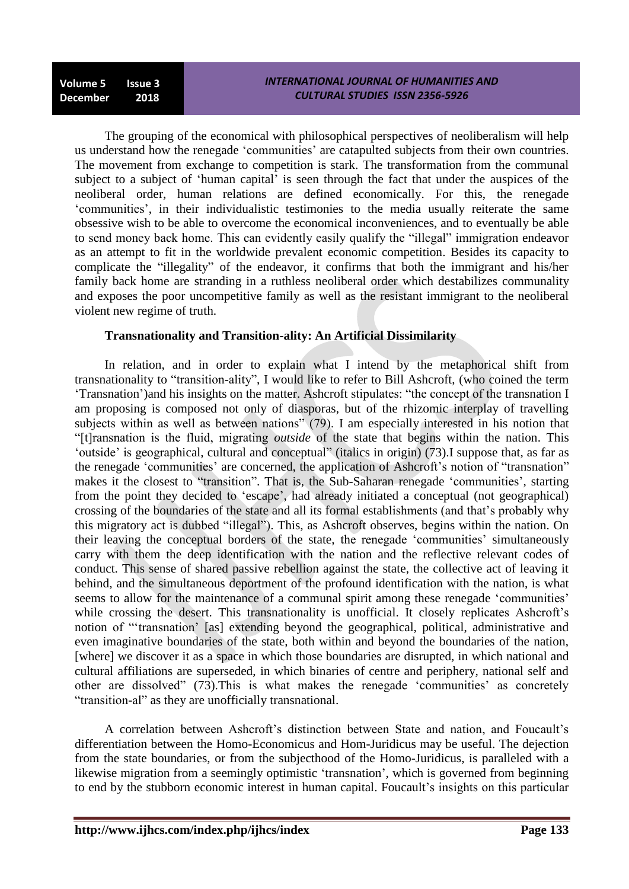**Volume 5 Issue 3 December 2018**

The grouping of the economical with philosophical perspectives of neoliberalism will help us understand how the renegade 'communities' are catapulted subjects from their own countries. The movement from exchange to competition is stark. The transformation from the communal subject to a subject of 'human capital' is seen through the fact that under the auspices of the neoliberal order, human relations are defined economically. For this, the renegade ‗communities', in their individualistic testimonies to the media usually reiterate the same obsessive wish to be able to overcome the economical inconveniences, and to eventually be able to send money back home. This can evidently easily qualify the "illegal" immigration endeavor as an attempt to fit in the worldwide prevalent economic competition. Besides its capacity to complicate the "illegality" of the endeavor, it confirms that both the immigrant and his/her family back home are stranding in a ruthless neoliberal order which destabilizes communality and exposes the poor uncompetitive family as well as the resistant immigrant to the neoliberal violent new regime of truth.

### **Transnationality and Transition-ality: An Artificial Dissimilarity**

In relation, and in order to explain what I intend by the metaphorical shift from transnationality to "transition-ality", I would like to refer to Bill Ashcroft, (who coined the term 'Transnation') and his insights on the matter. Ashcroft stipulates: "the concept of the transnation I am proposing is composed not only of diasporas, but of the rhizomic interplay of travelling subjects within as well as between nations" (79). I am especially interested in his notion that ―[t]ransnation is the fluid, migrating *outside* of the state that begins within the nation. This ‗outside' is geographical, cultural and conceptual‖ (italics in origin) (73).I suppose that, as far as the renegade 'communities' are concerned, the application of Ashcroft's notion of "transnation" makes it the closest to "transition". That is, the Sub-Saharan renegade 'communities', starting from the point they decided to 'escape', had already initiated a conceptual (not geographical) crossing of the boundaries of the state and all its formal establishments (and that's probably why this migratory act is dubbed "illegal"). This, as Ashcroft observes, begins within the nation. On their leaving the conceptual borders of the state, the renegade ‗communities' simultaneously carry with them the deep identification with the nation and the reflective relevant codes of conduct. This sense of shared passive rebellion against the state, the collective act of leaving it behind, and the simultaneous deportment of the profound identification with the nation, is what seems to allow for the maintenance of a communal spirit among these renegade 'communities' while crossing the desert. This transnationality is unofficial. It closely replicates Ashcroft's notion of "'transnation' [as] extending beyond the geographical, political, administrative and even imaginative boundaries of the state, both within and beyond the boundaries of the nation, [where] we discover it as a space in which those boundaries are disrupted, in which national and cultural affiliations are superseded, in which binaries of centre and periphery, national self and other are dissolved" (73). This is what makes the renegade 'communities' as concretely "transition-al" as they are unofficially transnational.

A correlation between Ashcroft's distinction between State and nation, and Foucault's differentiation between the Homo-Economicus and Hom-Juridicus may be useful. The dejection from the state boundaries, or from the subjecthood of the Homo-Juridicus, is paralleled with a likewise migration from a seemingly optimistic 'transnation', which is governed from beginning to end by the stubborn economic interest in human capital. Foucault's insights on this particular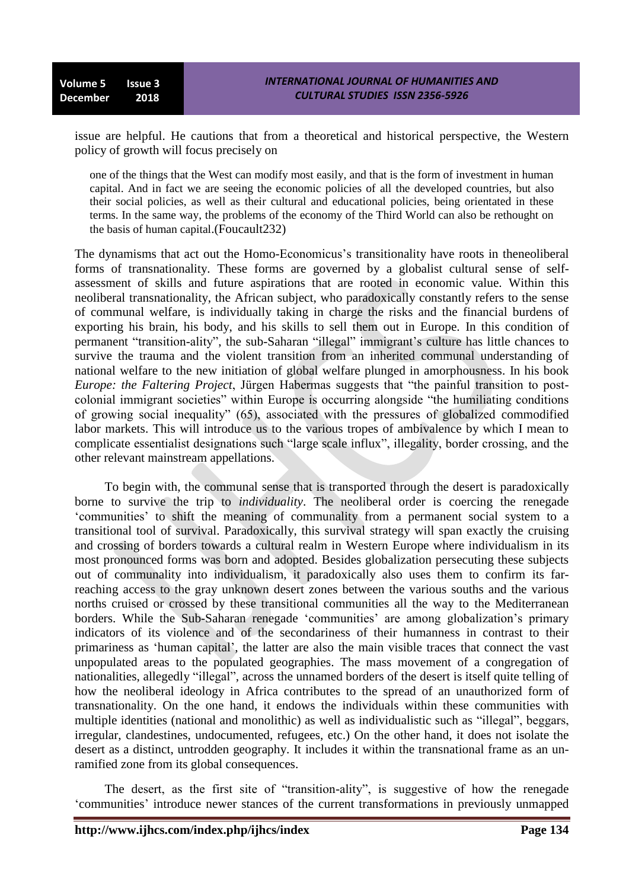issue are helpful. He cautions that from a theoretical and historical perspective, the Western policy of growth will focus precisely on

one of the things that the West can modify most easily, and that is the form of investment in human capital. And in fact we are seeing the economic policies of all the developed countries, but also their social policies, as well as their cultural and educational policies, being orientated in these terms. In the same way, the problems of the economy of the Third World can also be rethought on the basis of human capital.(Foucault232)

The dynamisms that act out the Homo-Economicus's transitionality have roots in theneoliberal forms of transnationality. These forms are governed by a globalist cultural sense of selfassessment of skills and future aspirations that are rooted in economic value. Within this neoliberal transnationality, the African subject, who paradoxically constantly refers to the sense of communal welfare, is individually taking in charge the risks and the financial burdens of exporting his brain, his body, and his skills to sell them out in Europe. In this condition of permanent "transition-ality", the sub-Saharan "illegal" immigrant's culture has little chances to survive the trauma and the violent transition from an inherited communal understanding of national welfare to the new initiation of global welfare plunged in amorphousness. In his book *Europe: the Faltering Project*, Jürgen Habermas suggests that "the painful transition to postcolonial immigrant societies" within Europe is occurring alongside "the humiliating conditions of growing social inequality" (65), associated with the pressures of globalized commodified labor markets. This will introduce us to the various tropes of ambivalence by which I mean to complicate essentialist designations such "large scale influx", illegality, border crossing, and the other relevant mainstream appellations.

To begin with, the communal sense that is transported through the desert is paradoxically borne to survive the trip to *individuality*. The neoliberal order is coercing the renegade ‗communities' to shift the meaning of communality from a permanent social system to a transitional tool of survival. Paradoxically, this survival strategy will span exactly the cruising and crossing of borders towards a cultural realm in Western Europe where individualism in its most pronounced forms was born and adopted. Besides globalization persecuting these subjects out of communality into individualism, it paradoxically also uses them to confirm its farreaching access to the gray unknown desert zones between the various souths and the various norths cruised or crossed by these transitional communities all the way to the Mediterranean borders. While the Sub-Saharan renegade 'communities' are among globalization's primary indicators of its violence and of the secondariness of their humanness in contrast to their primariness as 'human capital', the latter are also the main visible traces that connect the vast unpopulated areas to the populated geographies. The mass movement of a congregation of nationalities, allegedly "illegal", across the unnamed borders of the desert is itself quite telling of how the neoliberal ideology in Africa contributes to the spread of an unauthorized form of transnationality. On the one hand, it endows the individuals within these communities with multiple identities (national and monolithic) as well as individualistic such as "illegal", beggars, irregular, clandestines, undocumented, refugees, etc.) On the other hand, it does not isolate the desert as a distinct, untrodden geography. It includes it within the transnational frame as an unramified zone from its global consequences.

The desert, as the first site of "transition-ality", is suggestive of how the renegade ‗communities' introduce newer stances of the current transformations in previously unmapped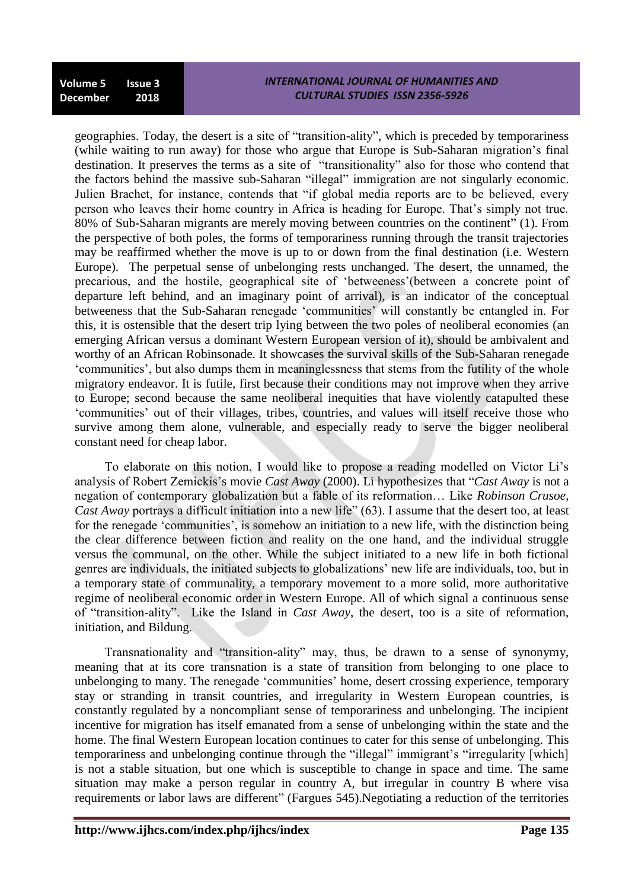geographies. Today, the desert is a site of "transition-ality", which is preceded by temporariness (while waiting to run away) for those who argue that Europe is Sub-Saharan migration's final destination. It preserves the terms as a site of "transitionality" also for those who contend that the factors behind the massive sub-Saharan "illegal" immigration are not singularly economic. Julien Brachet, for instance, contends that "if global media reports are to be believed, every person who leaves their home country in Africa is heading for Europe. That's simply not true. 80% of Sub-Saharan migrants are merely moving between countries on the continent" (1). From the perspective of both poles, the forms of temporariness running through the transit trajectories may be reaffirmed whether the move is up to or down from the final destination (i.e. Western Europe). The perpetual sense of unbelonging rests unchanged. The desert, the unnamed, the precarious, and the hostile, geographical site of ‗betweeness'(between a concrete point of departure left behind, and an imaginary point of arrival), is an indicator of the conceptual betweeness that the Sub-Saharan renegade 'communities' will constantly be entangled in. For this, it is ostensible that the desert trip lying between the two poles of neoliberal economies (an emerging African versus a dominant Western European version of it), should be ambivalent and worthy of an African Robinsonade. It showcases the survival skills of the Sub-Saharan renegade ‗communities', but also dumps them in meaninglessness that stems from the futility of the whole migratory endeavor. It is futile, first because their conditions may not improve when they arrive to Europe; second because the same neoliberal inequities that have violently catapulted these ‗communities' out of their villages, tribes, countries, and values will itself receive those who survive among them alone, vulnerable, and especially ready to serve the bigger neoliberal constant need for cheap labor.

To elaborate on this notion, I would like to propose a reading modelled on Victor Li's analysis of Robert Zemickis's movie *Cast Away* (2000). Li hypothesizes that "*Cast Away* is not a negation of contemporary globalization but a fable of its reformation… Like *Robinson Crusoe*, *Cast Away* portrays a difficult initiation into a new life" (63). I assume that the desert too, at least for the renegade 'communities', is somehow an initiation to a new life, with the distinction being the clear difference between fiction and reality on the one hand, and the individual struggle versus the communal, on the other. While the subject initiated to a new life in both fictional genres are individuals, the initiated subjects to globalizations' new life are individuals, too, but in a temporary state of communality, a temporary movement to a more solid, more authoritative regime of neoliberal economic order in Western Europe. All of which signal a continuous sense of "transition-ality". Like the Island in *Cast Away*, the desert, too is a site of reformation, initiation, and Bildung.

Transnationality and "transition-ality" may, thus, be drawn to a sense of synonymy, meaning that at its core transnation is a state of transition from belonging to one place to unbelonging to many. The renegade 'communities' home, desert crossing experience, temporary stay or stranding in transit countries, and irregularity in Western European countries, is constantly regulated by a noncompliant sense of temporariness and unbelonging. The incipient incentive for migration has itself emanated from a sense of unbelonging within the state and the home. The final Western European location continues to cater for this sense of unbelonging. This temporariness and unbelonging continue through the "illegal" immigrant's "irregularity [which] is not a stable situation, but one which is susceptible to change in space and time. The same situation may make a person regular in country A, but irregular in country B where visa requirements or labor laws are different" (Fargues 545). Negotiating a reduction of the territories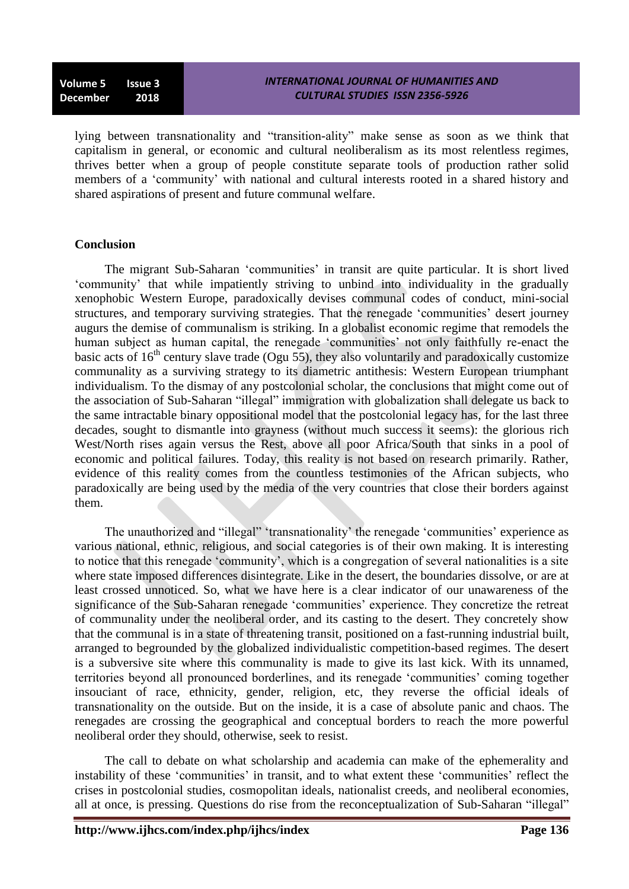lying between transnationality and "transition-ality" make sense as soon as we think that capitalism in general, or economic and cultural neoliberalism as its most relentless regimes, thrives better when a group of people constitute separate tools of production rather solid members of a 'community' with national and cultural interests rooted in a shared history and shared aspirations of present and future communal welfare.

# **Conclusion**

The migrant Sub-Saharan ‗communities' in transit are quite particular. It is short lived ‗community' that while impatiently striving to unbind into individuality in the gradually xenophobic Western Europe, paradoxically devises communal codes of conduct, mini-social structures, and temporary surviving strategies. That the renegade 'communities' desert journey augurs the demise of communalism is striking. In a globalist economic regime that remodels the human subject as human capital, the renegade 'communities' not only faithfully re-enact the basic acts of  $16<sup>th</sup>$  century slave trade (Ogu 55), they also voluntarily and paradoxically customize communality as a surviving strategy to its diametric antithesis: Western European triumphant individualism. To the dismay of any postcolonial scholar, the conclusions that might come out of the association of Sub-Saharan "illegal" immigration with globalization shall delegate us back to the same intractable binary oppositional model that the postcolonial legacy has, for the last three decades, sought to dismantle into grayness (without much success it seems): the glorious rich West/North rises again versus the Rest, above all poor Africa/South that sinks in a pool of economic and political failures. Today, this reality is not based on research primarily. Rather, evidence of this reality comes from the countless testimonies of the African subjects, who paradoxically are being used by the media of the very countries that close their borders against them.

The unauthorized and "illegal" 'transnationality' the renegade 'communities' experience as various national, ethnic, religious, and social categories is of their own making. It is interesting to notice that this renegade 'community', which is a congregation of several nationalities is a site where state imposed differences disintegrate. Like in the desert, the boundaries dissolve, or are at least crossed unnoticed. So, what we have here is a clear indicator of our unawareness of the significance of the Sub-Saharan renegade 'communities' experience. They concretize the retreat of communality under the neoliberal order, and its casting to the desert. They concretely show that the communal is in a state of threatening transit, positioned on a fast-running industrial built, arranged to begrounded by the globalized individualistic competition-based regimes. The desert is a subversive site where this communality is made to give its last kick. With its unnamed, territories beyond all pronounced borderlines, and its renegade ‗communities' coming together insouciant of race, ethnicity, gender, religion, etc, they reverse the official ideals of transnationality on the outside. But on the inside, it is a case of absolute panic and chaos. The renegades are crossing the geographical and conceptual borders to reach the more powerful neoliberal order they should, otherwise, seek to resist.

The call to debate on what scholarship and academia can make of the ephemerality and instability of these 'communities' in transit, and to what extent these 'communities' reflect the crises in postcolonial studies, cosmopolitan ideals, nationalist creeds, and neoliberal economies, all at once, is pressing. Questions do rise from the reconceptualization of Sub-Saharan "illegal"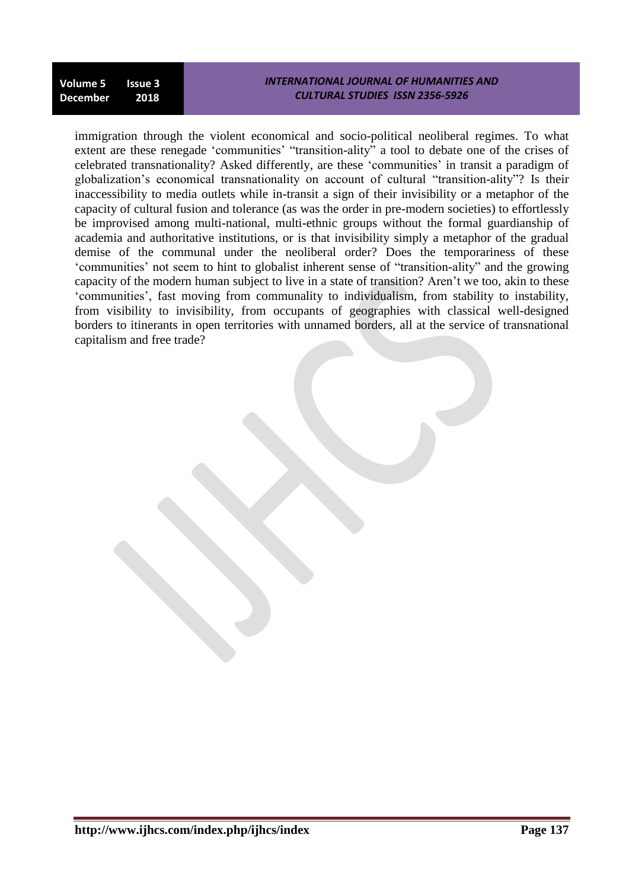#### *INTERNATIONAL JOURNAL OF HUMANITIES AND CULTURAL STUDIES ISSN 2356-5926*

immigration through the violent economical and socio-political neoliberal regimes. To what extent are these renegade 'communities' "transition-ality" a tool to debate one of the crises of celebrated transnationality? Asked differently, are these ‗communities' in transit a paradigm of globalization's economical transnationality on account of cultural "transition-ality"? Is their inaccessibility to media outlets while in-transit a sign of their invisibility or a metaphor of the capacity of cultural fusion and tolerance (as was the order in pre-modern societies) to effortlessly be improvised among multi-national, multi-ethnic groups without the formal guardianship of academia and authoritative institutions, or is that invisibility simply a metaphor of the gradual demise of the communal under the neoliberal order? Does the temporariness of these 'communities' not seem to hint to globalist inherent sense of "transition-ality" and the growing capacity of the modern human subject to live in a state of transition? Aren't we too, akin to these ‗communities', fast moving from communality to individualism, from stability to instability, from visibility to invisibility, from occupants of geographies with classical well-designed borders to itinerants in open territories with unnamed borders, all at the service of transnational capitalism and free trade?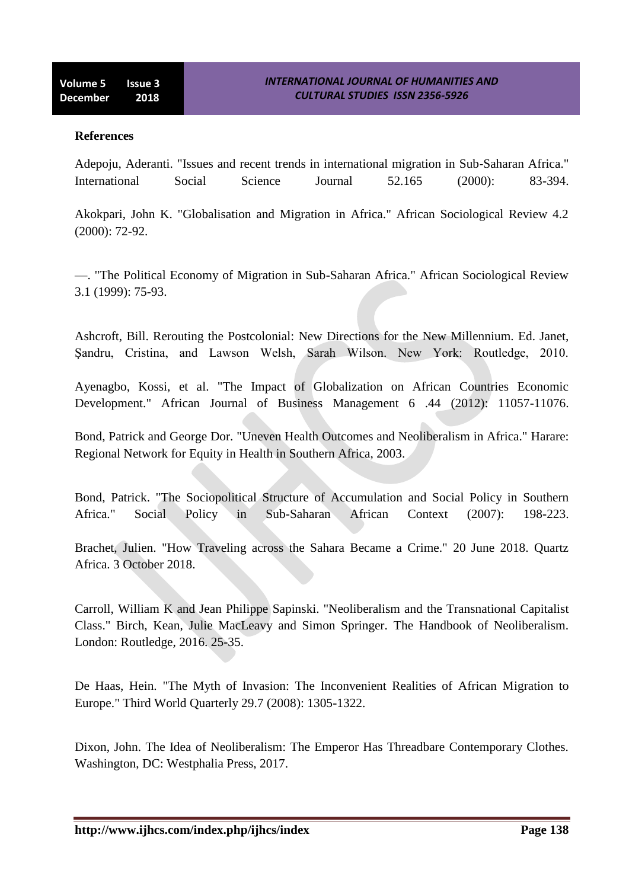#### **References**

Adepoju, Aderanti. "Issues and recent trends in international migration in Sub‐Saharan Africa." International Social Science Journal 52.165 (2000): 83-394.

Akokpari, John K. "Globalisation and Migration in Africa." African Sociological Review 4.2 (2000): 72-92.

—. "The Political Economy of Migration in Sub-Saharan Africa." African Sociological Review 3.1 (1999): 75-93.

Ashcroft, Bill. Rerouting the Postcolonial: New Directions for the New Millennium. Ed. Janet, Şandru, Cristina, and Lawson Welsh, Sarah Wilson. New York: Routledge, 2010.

Ayenagbo, Kossi, et al. "The Impact of Globalization on African Countries Economic Development." African Journal of Business Management 6 .44 (2012): 11057-11076.

Bond, Patrick and George Dor. "Uneven Health Outcomes and Neoliberalism in Africa." Harare: Regional Network for Equity in Health in Southern Africa, 2003.

Bond, Patrick. "The Sociopolitical Structure of Accumulation and Social Policy in Southern Africa." Social Policy in Sub-Saharan African Context (2007): 198-223.

Brachet, Julien. "How Traveling across the Sahara Became a Crime." 20 June 2018. Quartz Africa. 3 October 2018.

Carroll, William K and Jean Philippe Sapinski. "Neoliberalism and the Transnational Capitalist Class." Birch, Kean, Julie MacLeavy and Simon Springer. The Handbook of Neoliberalism. London: Routledge, 2016. 25-35.

De Haas, Hein. "The Myth of Invasion: The Inconvenient Realities of African Migration to Europe." Third World Quarterly 29.7 (2008): 1305-1322.

Dixon, John. The Idea of Neoliberalism: The Emperor Has Threadbare Contemporary Clothes. Washington, DC: Westphalia Press, 2017.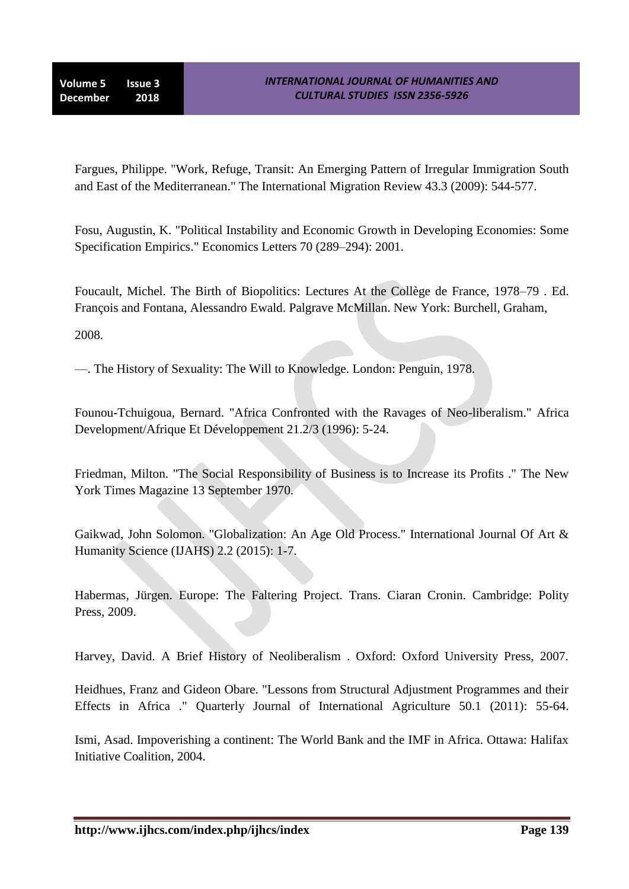**Volume 5 Issue 3 December 2018**

Fargues, Philippe. "Work, Refuge, Transit: An Emerging Pattern of Irregular Immigration South and East of the Mediterranean." The International Migration Review 43.3 (2009): 544-577.

Fosu, Augustin, K. "Political Instability and Economic Growth in Developing Economies: Some Specification Empirics." Economics Letters 70 (289–294): 2001.

Foucault, Michel. The Birth of Biopolitics: Lectures At the Collège de France, 1978–79 . Ed. François and Fontana, Alessandro Ewald. Palgrave McMillan. New York: Burchell, Graham,

2008.

—. The History of Sexuality: The Will to Knowledge. London: Penguin, 1978.

Founou-Tchuigoua, Bernard. "Africa Confronted with the Ravages of Neo-liberalism." Africa Development/Afrique Et Développement 21.2/3 (1996): 5-24.

Friedman, Milton. "The Social Responsibility of Business is to Increase its Profits ." The New York Times Magazine 13 September 1970.

Gaikwad, John Solomon. "Globalization: An Age Old Process." International Journal Of Art & Humanity Science (IJAHS) 2.2 (2015): 1-7.

Habermas, Jürgen. Europe: The Faltering Project. Trans. Ciaran Cronin. Cambridge: Polity Press, 2009.

Harvey, David. A Brief History of Neoliberalism . Oxford: Oxford University Press, 2007.

Heidhues, Franz and Gideon Obare. "Lessons from Structural Adjustment Programmes and their Effects in Africa ." Quarterly Journal of International Agriculture 50.1 (2011): 55-64.

Ismi, Asad. Impoverishing a continent: The World Bank and the IMF in Africa. Ottawa: Halifax Initiative Coalition, 2004.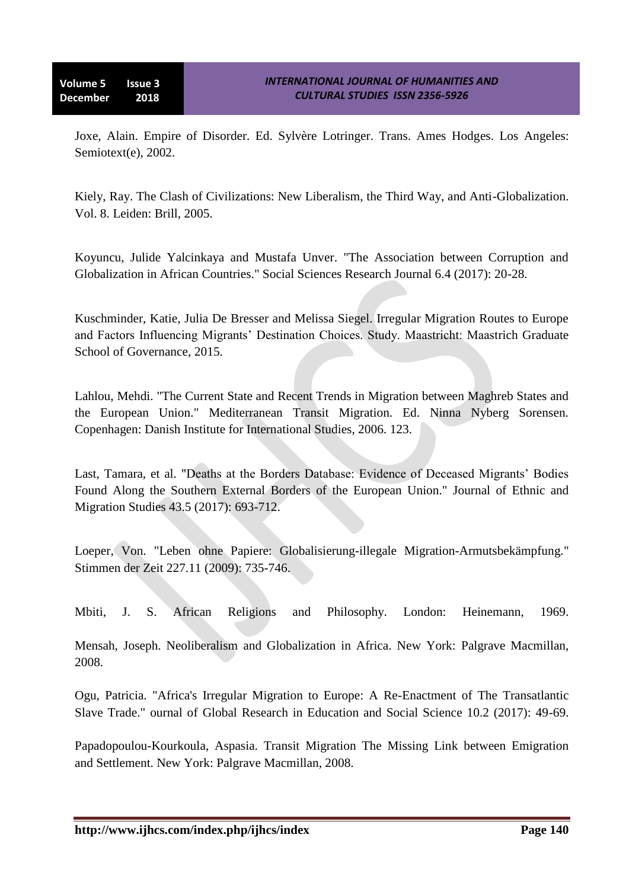Joxe, Alain. Empire of Disorder. Ed. Sylvère Lotringer. Trans. Ames Hodges. Los Angeles: Semiotext(e), 2002.

Kiely, Ray. The Clash of Civilizations: New Liberalism, the Third Way, and Anti-Globalization. Vol. 8. Leiden: Brill, 2005.

Koyuncu, Julide Yalcinkaya and Mustafa Unver. "The Association between Corruption and Globalization in African Countries." Social Sciences Research Journal 6.4 (2017): 20-28.

Kuschminder, Katie, Julia De Bresser and Melissa Siegel. Irregular Migration Routes to Europe and Factors Influencing Migrants' Destination Choices. Study. Maastricht: Maastrich Graduate School of Governance, 2015.

Lahlou, Mehdi. "The Current State and Recent Trends in Migration between Maghreb States and the European Union." Mediterranean Transit Migration. Ed. Ninna Nyberg Sorensen. Copenhagen: Danish Institute for International Studies, 2006. 123.

Last, Tamara, et al. "Deaths at the Borders Database: Evidence of Deceased Migrants' Bodies Found Along the Southern External Borders of the European Union." Journal of Ethnic and Migration Studies 43.5 (2017): 693-712.

Loeper, Von. "Leben ohne Papiere: Globalisierung-illegale Migration-Armutsbekämpfung." Stimmen der Zeit 227.11 (2009): 735-746.

Mbiti, J. S. African Religions and Philosophy. London: Heinemann, 1969.

Mensah, Joseph. Neoliberalism and Globalization in Africa. New York: Palgrave Macmillan, 2008.

Ogu, Patricia. "Africa's Irregular Migration to Europe: A Re-Enactment of The Transatlantic Slave Trade." ournal of Global Research in Education and Social Science 10.2 (2017): 49-69.

Papadopoulou-Kourkoula, Aspasia. Transit Migration The Missing Link between Emigration and Settlement. New York: Palgrave Macmillan, 2008.